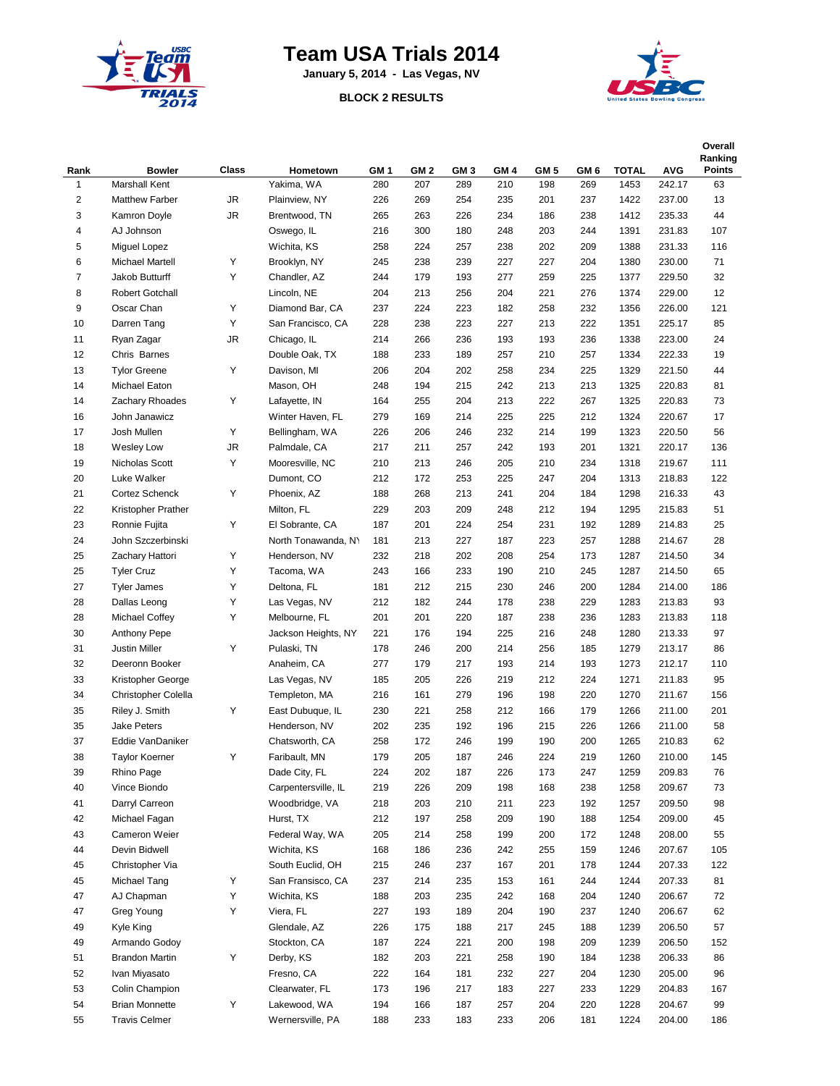

## **Team USA Trials 2014**

**January 5, 2014 - Las Vegas, NV**

## **BLOCK 2 RESULTS**



| Rank           | <b>Bowler</b>         | Class     | Hometown            | GM <sub>1</sub> | GM <sub>2</sub> | GM 3 | GM <sub>4</sub> | GM <sub>5</sub> | GM 6 | <b>TOTAL</b> | <b>AVG</b> | Overall<br>Ranking<br><b>Points</b> |
|----------------|-----------------------|-----------|---------------------|-----------------|-----------------|------|-----------------|-----------------|------|--------------|------------|-------------------------------------|
| 1              | Marshall Kent         |           | Yakima, WA          | 280             | 207             | 289  | 210             | 198             | 269  | 1453         | 242.17     | 63                                  |
| $\overline{2}$ | <b>Matthew Farber</b> | JR        | Plainview, NY       | 226             | 269             | 254  | 235             | 201             | 237  | 1422         | 237.00     | 13                                  |
| 3              | Kamron Doyle          | JR        | Brentwood, TN       | 265             | 263             | 226  | 234             | 186             | 238  | 1412         | 235.33     | 44                                  |
| $\overline{4}$ | AJ Johnson            |           | Oswego, IL          | 216             | 300             | 180  | 248             | 203             | 244  | 1391         | 231.83     | 107                                 |
| 5              | Miguel Lopez          |           | Wichita, KS         | 258             | 224             | 257  | 238             | 202             | 209  | 1388         | 231.33     | 116                                 |
| 6              | Michael Martell       | Υ         | Brooklyn, NY        | 245             | 238             | 239  | 227             | 227             | 204  | 1380         | 230.00     | 71                                  |
| $\overline{7}$ | Jakob Butturff        | Υ         | Chandler, AZ        | 244             | 179             | 193  | 277             | 259             | 225  | 1377         | 229.50     | 32                                  |
| 8              | Robert Gotchall       |           | Lincoln, NE         | 204             | 213             | 256  | 204             | 221             | 276  | 1374         | 229.00     | 12                                  |
| 9              | Oscar Chan            | Υ         | Diamond Bar, CA     | 237             | 224             | 223  | 182             | 258             | 232  | 1356         | 226.00     | 121                                 |
| 10             | Darren Tang           | Υ         | San Francisco. CA   | 228             | 238             | 223  | 227             | 213             | 222  | 1351         | 225.17     | 85                                  |
| 11             | Ryan Zagar            | JR.       | Chicago, IL         | 214             | 266             | 236  | 193             | 193             | 236  | 1338         | 223.00     | 24                                  |
| 12             | Chris Barnes          |           | Double Oak, TX      | 188             | 233             | 189  | 257             | 210             | 257  | 1334         | 222.33     | 19                                  |
| 13             | <b>Tylor Greene</b>   | Υ         | Davison, MI         | 206             | 204             | 202  | 258             | 234             | 225  | 1329         | 221.50     | 44                                  |
| 14             | Michael Eaton         |           | Mason, OH           | 248             | 194             | 215  | 242             | 213             | 213  | 1325         | 220.83     | 81                                  |
| 14             | Zachary Rhoades       | Υ         | Lafayette, IN       | 164             | 255             | 204  | 213             | 222             | 267  | 1325         | 220.83     | 73                                  |
| 16             | John Janawicz         |           | Winter Haven, FL    | 279             | 169             | 214  | 225             | 225             | 212  | 1324         | 220.67     | 17                                  |
| 17             | Josh Mullen           | Υ         | Bellingham, WA      | 226             | 206             | 246  | 232             | 214             | 199  | 1323         | 220.50     | 56                                  |
| 18             | <b>Wesley Low</b>     | <b>JR</b> | Palmdale, CA        | 217             | 211             | 257  | 242             | 193             | 201  | 1321         | 220.17     | 136                                 |
| 19             | Nicholas Scott        | Υ         | Mooresville, NC     | 210             | 213             | 246  | 205             | 210             | 234  | 1318         | 219.67     | 111                                 |
| 20             | Luke Walker           |           | Dumont, CO          | 212             | 172             | 253  | 225             | 247             | 204  | 1313         | 218.83     | 122                                 |
| 21             | Cortez Schenck        | Υ         | Phoenix, AZ         | 188             | 268             | 213  | 241             | 204             | 184  | 1298         | 216.33     | 43                                  |
| 22             | Kristopher Prather    |           | Milton, FL          | 229             | 203             | 209  | 248             | 212             | 194  | 1295         | 215.83     | 51                                  |
| 23             | Ronnie Fujita         | Υ         | El Sobrante, CA     | 187             | 201             | 224  | 254             | 231             | 192  | 1289         | 214.83     | 25                                  |
| 24             | John Szczerbinski     |           | North Tonawanda, NY | 181             | 213             | 227  | 187             | 223             | 257  | 1288         | 214.67     | 28                                  |
| 25             | Zachary Hattori       | Υ         | Henderson, NV       | 232             | 218             | 202  | 208             | 254             | 173  | 1287         | 214.50     | 34                                  |
| 25             | <b>Tyler Cruz</b>     | Υ         | Tacoma, WA          | 243             | 166             | 233  | 190             | 210             | 245  | 1287         | 214.50     | 65                                  |
| 27             | <b>Tyler James</b>    | Υ         | Deltona, FL         | 181             | 212             | 215  | 230             | 246             | 200  | 1284         | 214.00     | 186                                 |
| 28             | Dallas Leong          | Υ         | Las Vegas, NV       | 212             | 182             | 244  | 178             | 238             | 229  | 1283         | 213.83     | 93                                  |
| 28             | Michael Coffey        | Υ         | Melbourne, FL       | 201             | 201             | 220  | 187             | 238             | 236  | 1283         | 213.83     | 118                                 |
| 30             | Anthony Pepe          |           | Jackson Heights, NY | 221             | 176             | 194  | 225             | 216             | 248  | 1280         | 213.33     | 97                                  |
| 31             | <b>Justin Miller</b>  | Υ         | Pulaski, TN         | 178             | 246             | 200  | 214             | 256             | 185  | 1279         | 213.17     | 86                                  |
| 32             | Deeronn Booker        |           | Anaheim, CA         | 277             | 179             | 217  | 193             | 214             | 193  | 1273         | 212.17     | 110                                 |
| 33             | Kristopher George     |           | Las Vegas, NV       | 185             | 205             | 226  | 219             | 212             | 224  | 1271         | 211.83     | 95                                  |
| 34             | Christopher Colella   |           | Templeton, MA       | 216             | 161             | 279  | 196             | 198             | 220  | 1270         | 211.67     | 156                                 |
| 35             | Riley J. Smith        | Υ         | East Dubuque, IL    | 230             | 221             | 258  | 212             | 166             | 179  | 1266         | 211.00     | 201                                 |
| 35             | <b>Jake Peters</b>    |           | Henderson, NV       | 202             | 235             | 192  | 196             | 215             | 226  | 1266         | 211.00     | 58                                  |
| 37             | Eddie VanDaniker      |           | Chatsworth, CA      | 258             | 172             | 246  | 199             | 190             | 200  | 1265         | 210.83     | 62                                  |
| 38             | <b>Taylor Koerner</b> | Υ         | Faribault, MN       | 179             | 205             | 187  | 246             | 224             | 219  | 1260         | 210.00     | 145                                 |
| 39             | Rhino Page            |           | Dade City, FL       | 224             | 202             | 187  | 226             | 173             | 247  | 1259         | 209.83     | 76                                  |
| 40             | Vince Biondo          |           | Carpentersville, IL | 219             | 226             | 209  | 198             | 168             | 238  | 1258         | 209.67     | 73                                  |
| 41             | Darryl Carreon        |           | Woodbridge, VA      | 218             | 203             | 210  | 211             | 223             | 192  | 1257         | 209.50     | 98                                  |
| 42             | Michael Fagan         |           | Hurst, TX           | 212             | 197             | 258  | 209             | 190             | 188  | 1254         | 209.00     | 45                                  |
| 43             | Cameron Weier         |           | Federal Way, WA     | 205             | 214             | 258  | 199             | 200             | 172  | 1248         | 208.00     | 55                                  |
| 44             | Devin Bidwell         |           | Wichita, KS         | 168             | 186             | 236  | 242             | 255             | 159  | 1246         | 207.67     | 105                                 |
| 45             | Christopher Via       |           | South Euclid, OH    | 215             | 246             | 237  | 167             | 201             | 178  | 1244         | 207.33     | 122                                 |
| 45             | Michael Tang          | Υ         | San Fransisco, CA   | 237             | 214             | 235  | 153             | 161             | 244  | 1244         | 207.33     | 81                                  |
| 47             | AJ Chapman            | Υ         | Wichita, KS         | 188             | 203             | 235  | 242             | 168             | 204  | 1240         | 206.67     | 72                                  |
| 47             | Greg Young            | Υ         | Viera, FL           | 227             | 193             | 189  | 204             | 190             | 237  | 1240         | 206.67     | 62                                  |
| 49             | Kyle King             |           | Glendale, AZ        | 226             | 175             | 188  | 217             | 245             | 188  | 1239         | 206.50     | 57                                  |
| 49             | Armando Godoy         |           | Stockton, CA        | 187             | 224             | 221  | 200             | 198             | 209  | 1239         | 206.50     | 152                                 |
| 51             | <b>Brandon Martin</b> | Υ         | Derby, KS           | 182             | 203             | 221  | 258             | 190             | 184  | 1238         | 206.33     | 86                                  |
| 52             | Ivan Miyasato         |           | Fresno, CA          | 222             | 164             | 181  | 232             | 227             | 204  | 1230         | 205.00     | 96                                  |
| 53             | Colin Champion        |           | Clearwater, FL      | 173             | 196             | 217  | 183             | 227             | 233  | 1229         | 204.83     | 167                                 |
| 54             | <b>Brian Monnette</b> | Υ         | Lakewood, WA        | 194             | 166             | 187  | 257             | 204             | 220  | 1228         | 204.67     | 99                                  |
| 55             | <b>Travis Celmer</b>  |           | Wernersville, PA    | 188             | 233             | 183  | 233             | 206             | 181  | 1224         | 204.00     | 186                                 |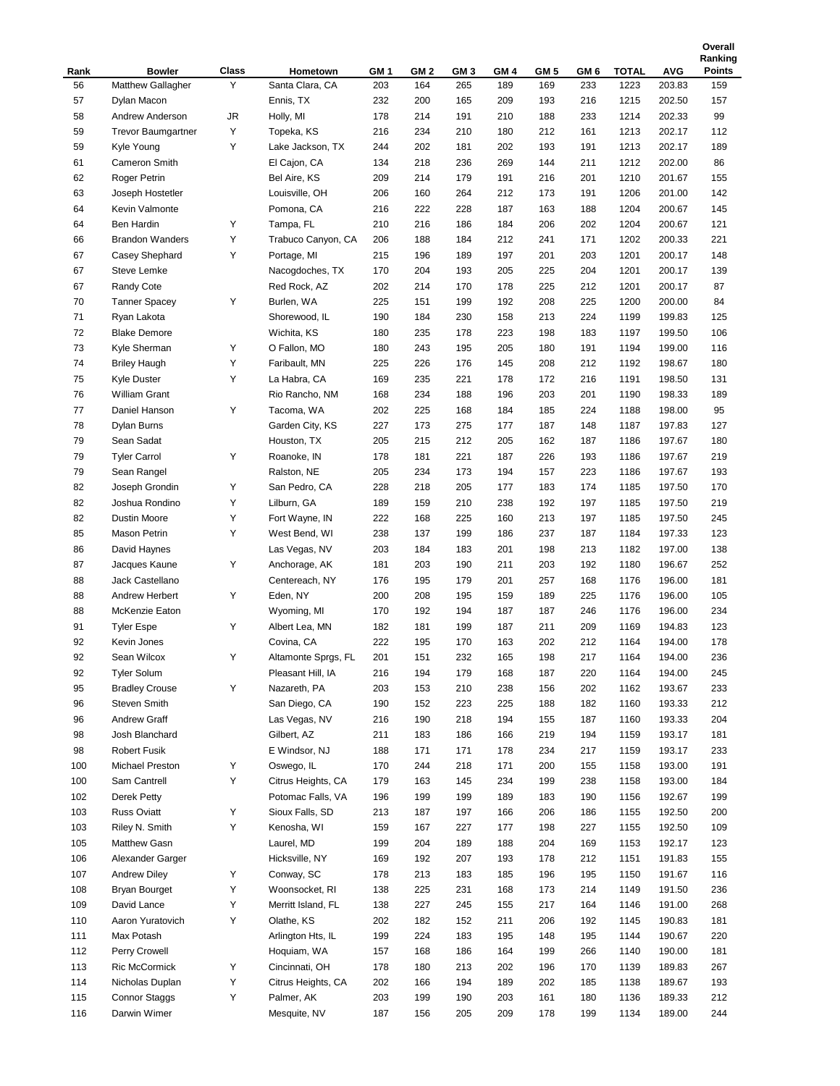|            |                                    |            |                             |                        |                        |                        |             |             |                        |               |                      | Ranking              |
|------------|------------------------------------|------------|-----------------------------|------------------------|------------------------|------------------------|-------------|-------------|------------------------|---------------|----------------------|----------------------|
| Rank<br>56 | <b>Bowler</b><br>Matthew Gallagher | Class<br>Υ | Hometown<br>Santa Clara, CA | GM <sub>1</sub><br>203 | GM <sub>2</sub><br>164 | GM <sub>3</sub><br>265 | GM 4<br>189 | GM 5<br>169 | GM <sub>6</sub><br>233 | TOTAL<br>1223 | <b>AVG</b><br>203.83 | <b>Points</b><br>159 |
| 57         |                                    |            | Ennis, TX                   |                        |                        |                        | 209         |             |                        |               |                      |                      |
|            | Dylan Macon                        |            |                             | 232                    | 200                    | 165                    | 210         | 193         | 216                    | 1215          | 202.50               | 157<br>99            |
| 58         | Andrew Anderson                    | JR         | Holly, MI                   | 178                    | 214                    | 191                    |             | 188         | 233                    | 1214          | 202.33               |                      |
| 59         | <b>Trevor Baumgartner</b>          | Υ          | Topeka, KS                  | 216                    | 234                    | 210                    | 180         | 212         | 161                    | 1213          | 202.17               | 112                  |
| 59         | Kyle Young                         | Υ          | Lake Jackson, TX            | 244                    | 202                    | 181                    | 202         | 193         | 191                    | 1213          | 202.17               | 189                  |
| 61         | Cameron Smith                      |            | El Cajon, CA                | 134                    | 218                    | 236                    | 269         | 144         | 211                    | 1212          | 202.00               | 86                   |
| 62         | Roger Petrin                       |            | Bel Aire, KS                | 209                    | 214                    | 179                    | 191         | 216         | 201                    | 1210          | 201.67               | 155                  |
| 63         | Joseph Hostetler                   |            | Louisville, OH              | 206                    | 160                    | 264                    | 212         | 173         | 191                    | 1206          | 201.00               | 142                  |
| 64         | Kevin Valmonte                     |            | Pomona, CA                  | 216                    | 222                    | 228                    | 187         | 163         | 188                    | 1204          | 200.67               | 145                  |
| 64         | <b>Ben Hardin</b>                  | Υ          | Tampa, FL                   | 210                    | 216                    | 186                    | 184         | 206         | 202                    | 1204          | 200.67               | 121                  |
| 66         | <b>Brandon Wanders</b>             | Υ          | Trabuco Canyon, CA          | 206                    | 188                    | 184                    | 212         | 241         | 171                    | 1202          | 200.33               | 221                  |
| 67         | Casey Shephard                     | Υ          | Portage, MI                 | 215                    | 196                    | 189                    | 197         | 201         | 203                    | 1201          | 200.17               | 148                  |
| 67         | Steve Lemke                        |            | Nacogdoches, TX             | 170                    | 204                    | 193                    | 205         | 225         | 204                    | 1201          | 200.17               | 139                  |
| 67         | Randy Cote                         |            | Red Rock, AZ                | 202                    | 214                    | 170                    | 178         | 225         | 212                    | 1201          | 200.17               | 87                   |
| 70         | <b>Tanner Spacey</b>               | Υ          | Burlen, WA                  | 225                    | 151                    | 199                    | 192         | 208         | 225                    | 1200          | 200.00               | 84                   |
| 71         | Ryan Lakota                        |            | Shorewood, IL               | 190                    | 184                    | 230                    | 158         | 213         | 224                    | 1199          | 199.83               | 125                  |
| 72         | <b>Blake Demore</b>                |            | Wichita, KS                 | 180                    | 235                    | 178                    | 223         | 198         | 183                    | 1197          | 199.50               | 106                  |
| 73         | Kyle Sherman                       | Υ          | O Fallon, MO                | 180                    | 243                    | 195                    | 205         | 180         | 191                    | 1194          | 199.00               | 116                  |
| 74         | <b>Briley Haugh</b>                | Υ          | Faribault, MN               | 225                    | 226                    | 176                    | 145         | 208         | 212                    | 1192          | 198.67               | 180                  |
| 75         | <b>Kyle Duster</b>                 | Υ          | La Habra, CA                | 169                    | 235                    | 221                    | 178         | 172         | 216                    | 1191          | 198.50               | 131                  |
| 76         | William Grant                      |            | Rio Rancho, NM              | 168                    | 234                    | 188                    | 196         | 203         | 201                    | 1190          | 198.33               | 189                  |
| 77         | Daniel Hanson                      | Υ          | Tacoma, WA                  | 202                    | 225                    | 168                    | 184         | 185         | 224                    | 1188          | 198.00               | 95                   |
| 78         | Dylan Burns                        |            | Garden City, KS             | 227                    | 173                    | 275                    | 177         | 187         | 148                    | 1187          | 197.83               | 127                  |
| 79         | Sean Sadat                         |            | Houston, TX                 | 205                    | 215                    | 212                    | 205         | 162         | 187                    | 1186          | 197.67               | 180                  |
| 79         | <b>Tyler Carrol</b>                | Υ          | Roanoke, IN                 | 178                    | 181                    | 221                    | 187         | 226         | 193                    | 1186          | 197.67               | 219                  |
| 79         | Sean Rangel                        |            | Ralston, NE                 | 205                    | 234                    | 173                    | 194         | 157         | 223                    | 1186          | 197.67               | 193                  |
| 82         | Joseph Grondin                     | Υ          | San Pedro, CA               | 228                    | 218                    | 205                    | 177         | 183         | 174                    | 1185          | 197.50               | 170                  |
| 82         | Joshua Rondino                     | Υ          | Lilburn, GA                 | 189                    | 159                    | 210                    | 238         | 192         | 197                    | 1185          | 197.50               | 219                  |
| 82         | <b>Dustin Moore</b>                | Υ          | Fort Wayne, IN              | 222                    | 168                    | 225                    | 160         | 213         | 197                    | 1185          | 197.50               | 245                  |
| 85         | Mason Petrin                       | Υ          | West Bend, WI               | 238                    | 137                    | 199                    | 186         | 237         | 187                    | 1184          | 197.33               | 123                  |
| 86         | David Haynes                       |            | Las Vegas, NV               | 203                    | 184                    | 183                    | 201         | 198         | 213                    | 1182          | 197.00               | 138                  |
| 87         | Jacques Kaune                      | Υ          | Anchorage, AK               | 181                    | 203                    | 190                    | 211         | 203         | 192                    | 1180          | 196.67               | 252                  |
| 88         | Jack Castellano                    |            | Centereach, NY              | 176                    | 195                    | 179                    | 201         | 257         | 168                    | 1176          | 196.00               | 181                  |
| 88         | Andrew Herbert                     | Υ          | Eden, NY                    | 200                    | 208                    | 195                    | 159         | 189         | 225                    | 1176          | 196.00               | 105                  |
| 88         | McKenzie Eaton                     |            | Wyoming, MI                 | 170                    | 192                    | 194                    | 187         | 187         | 246                    | 1176          | 196.00               | 234                  |
| 91         | <b>Tyler Espe</b>                  | Υ          | Albert Lea, MN              | 182                    | 181                    | 199                    | 187         | 211         | 209                    | 1169          | 194.83               | 123                  |
| 92         | Kevin Jones                        |            | Covina, CA                  | 222                    | 195                    | 170                    | 163         | 202         | 212                    | 1164          | 194.00               | 178                  |
| 92         | Sean Wilcox                        | Υ          | Altamonte Sprgs, FL         | 201                    | 151                    | 232                    | 165         | 198         | 217                    | 1164          | 194.00               | 236                  |
| 92         | <b>Tyler Solum</b>                 |            | Pleasant Hill, IA           | 216                    | 194                    | 179                    | 168         | 187         | 220                    | 1164          | 194.00               | 245                  |
| 95         | <b>Bradley Crouse</b>              | Υ          | Nazareth, PA                | 203                    | 153                    | 210                    | 238         | 156         | 202                    | 1162          | 193.67               | 233                  |
| 96         | Steven Smith                       |            | San Diego, CA               | 190                    | 152                    | 223                    | 225         | 188         | 182                    | 1160          | 193.33               | 212                  |
| 96         | <b>Andrew Graff</b>                |            | Las Vegas, NV               | 216                    | 190                    | 218                    | 194         | 155         | 187                    | 1160          | 193.33               | 204                  |
| 98         | Josh Blanchard                     |            | Gilbert, AZ                 | 211                    | 183                    | 186                    | 166         | 219         | 194                    | 1159          | 193.17               | 181                  |
| 98         | <b>Robert Fusik</b>                |            | E Windsor, NJ               | 188                    | 171                    | 171                    | 178         | 234         | 217                    | 1159          | 193.17               | 233                  |
| 100        | Michael Preston                    | Υ          | Oswego, IL                  | 170                    | 244                    | 218                    | 171         | 200         | 155                    | 1158          | 193.00               | 191                  |
| 100        | Sam Cantrell                       | Υ          | Citrus Heights, CA          | 179                    | 163                    | 145                    | 234         | 199         | 238                    | 1158          | 193.00               | 184                  |
| 102        | Derek Petty                        |            | Potomac Falls, VA           | 196                    | 199                    | 199                    | 189         | 183         | 190                    | 1156          | 192.67               | 199                  |
| 103        | <b>Russ Oviatt</b>                 | Υ          | Sioux Falls, SD             | 213                    | 187                    | 197                    | 166         | 206         | 186                    | 1155          | 192.50               | 200                  |
| 103        | Riley N. Smith                     | Υ          | Kenosha, WI                 | 159                    |                        | 227                    |             | 198         | 227                    |               | 192.50               | 109                  |
| 105        |                                    |            | Laurel, MD                  |                        | 167                    |                        | 177         |             |                        | 1155          |                      |                      |
|            | Matthew Gasn                       |            |                             | 199                    | 204                    | 189                    | 188         | 204         | 169                    | 1153          | 192.17               | 123                  |
| 106        | Alexander Garger                   |            | Hicksville, NY              | 169                    | 192                    | 207                    | 193         | 178         | 212                    | 1151          | 191.83               | 155                  |
| 107        | <b>Andrew Diley</b>                | Υ          | Conway, SC                  | 178                    | 213                    | 183                    | 185         | 196         | 195                    | 1150          | 191.67               | 116                  |
| 108        | Bryan Bourget                      | Υ          | Woonsocket, RI              | 138                    | 225                    | 231                    | 168         | 173         | 214                    | 1149          | 191.50               | 236                  |
| 109        | David Lance                        | Υ          | Merritt Island, FL          | 138                    | 227                    | 245                    | 155         | 217         | 164                    | 1146          | 191.00               | 268                  |
| 110        | Aaron Yuratovich                   | Υ          | Olathe, KS                  | 202                    | 182                    | 152                    | 211         | 206         | 192                    | 1145          | 190.83               | 181                  |
| 111        | Max Potash                         |            | Arlington Hts, IL           | 199                    | 224                    | 183                    | 195         | 148         | 195                    | 1144          | 190.67               | 220                  |
| 112        | Perry Crowell                      |            | Hoquiam, WA                 | 157                    | 168                    | 186                    | 164         | 199         | 266                    | 1140          | 190.00               | 181                  |
| 113        | Ric McCormick                      | Υ          | Cincinnati, OH              | 178                    | 180                    | 213                    | 202         | 196         | 170                    | 1139          | 189.83               | 267                  |
| 114        | Nicholas Duplan                    | Υ          | Citrus Heights, CA          | 202                    | 166                    | 194                    | 189         | 202         | 185                    | 1138          | 189.67               | 193                  |
| 115        | Connor Staggs                      | Υ          | Palmer, AK                  | 203                    | 199                    | 190                    | 203         | 161         | 180                    | 1136          | 189.33               | 212                  |
| 116        | Darwin Wimer                       |            | Mesquite, NV                | 187                    | 156                    | 205                    | 209         | 178         | 199                    | 1134          | 189.00               | 244                  |

**Overall**